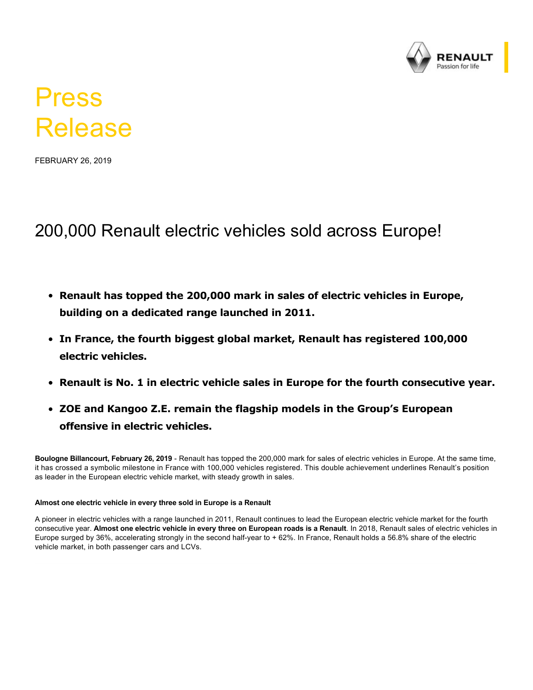

# Press Release

FEBRUARY 26, 2019

## 200,000 Renault electric vehicles sold across Europe!

- **Renault has topped the 200,000 mark in sales of electric vehicles in Europe, building on a dedicated range launched in 2011.**
- **In France, the fourth biggest global market, Renault has registered 100,000 electric vehicles.**
- **Renault is No. 1 in electric vehicle sales in Europe for the fourth consecutive year.**
- **ZOE and Kangoo Z.E. remain the flagship models in the Group's European offensive in electric vehicles.**

**Boulogne Billancourt, February 26, 2019** Renault has topped the 200,000 mark for sales of electric vehicles in Europe. At the same time, it has crossed a symbolic milestone in France with 100,000 vehicles registered. This double achievement underlines Renault's position as leader in the European electric vehicle market, with steady growth in sales.

### **Almost one electric vehicle in every three sold in Europe is a Renault**

A pioneer in electric vehicles with a range launched in 2011, Renault continues to lead the European electric vehicle market for the fourth consecutive year. **Almost one electric vehicle in every three on European roads is a Renault**. In 2018, Renault sales of electric vehicles in Europe surged by 36%, accelerating strongly in the second half-year to +62%. In France, Renault holds a 56.8% share of the electric vehicle market, in both passenger cars and LCVs.